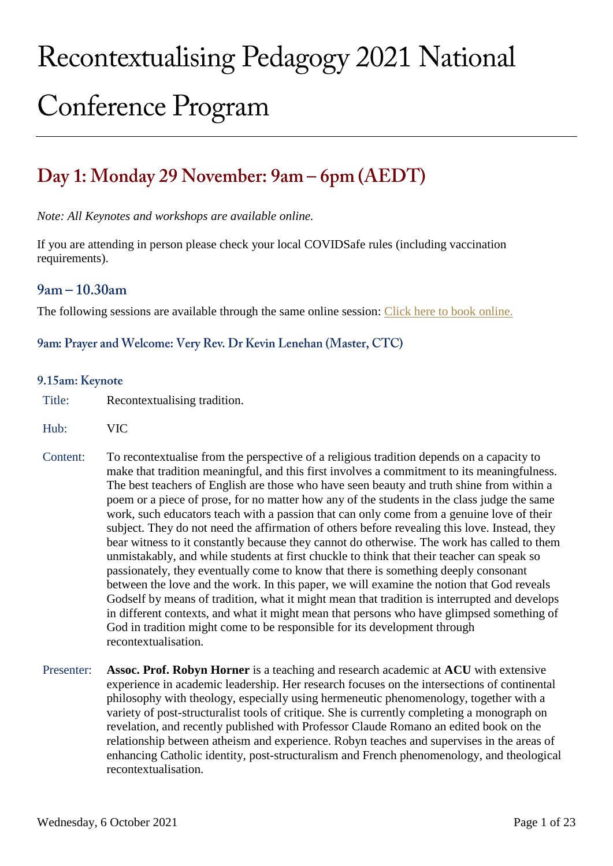# Recontextualising Pedagogy 2021 National **Conference Program**

# Day 1: Monday 29 November: 9am – 6pm (AEDT)

*Note: All Keynotes and workshops are available online.*

If you are attending in person please check your local COVIDSafe rules (including vaccination requirements).

# $9am - 10.30am$

The following sessions are available through the same online session: [Click here to book online.](https://divinity.zoom.us/meeting/register/tZUrcuuhqTsjHNEf1xuv0z1fPjiYiJvyWI_g)

# 9am: Prayer and Welcome: Very Rev. Dr Kevin Lenehan (Master, CTC)

#### 9.15am: Keynote

- Title: Recontextualising tradition.
- Hub: VIC
- Content: To recontextualise from the perspective of a religious tradition depends on a capacity to make that tradition meaningful, and this first involves a commitment to its meaningfulness. The best teachers of English are those who have seen beauty and truth shine from within a poem or a piece of prose, for no matter how any of the students in the class judge the same work, such educators teach with a passion that can only come from a genuine love of their subject. They do not need the affirmation of others before revealing this love. Instead, they bear witness to it constantly because they cannot do otherwise. The work has called to them unmistakably, and while students at first chuckle to think that their teacher can speak so passionately, they eventually come to know that there is something deeply consonant between the love and the work. In this paper, we will examine the notion that God reveals Godself by means of tradition, what it might mean that tradition is interrupted and develops in different contexts, and what it might mean that persons who have glimpsed something of God in tradition might come to be responsible for its development through recontextualisation.
- Presenter: **Assoc. Prof. Robyn Horner** is a teaching and research academic at **ACU** with extensive experience in academic leadership. Her research focuses on the intersections of continental philosophy with theology, especially using hermeneutic phenomenology, together with a variety of post-structuralist tools of critique. She is currently completing a monograph on revelation, and recently published with Professor Claude Romano an edited book on the relationship between atheism and experience. Robyn teaches and supervises in the areas of enhancing Catholic identity, post-structuralism and French phenomenology, and theological recontextualisation.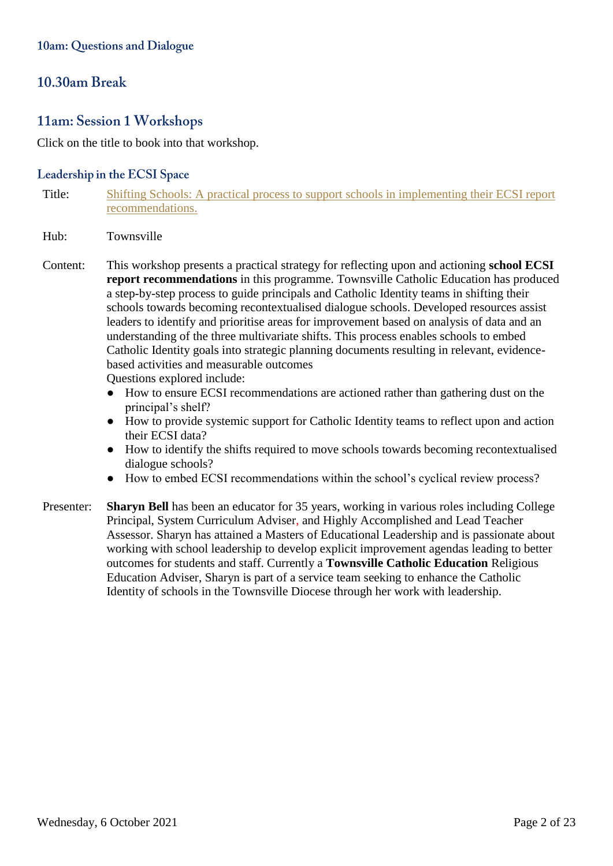# 10.30am Break

# 11am: Session 1 Workshops

Click on the title to book into that workshop.

# Leadership in the ECSI Space

- Title: Shifting Schools: [A practical process to support schools in implementing their ECSI report](https://divinity.zoom.us/meeting/register/tZwtdumspjooHNOlpEwvE_hemB9aobbPeK1J)  [recommendations.](https://divinity.zoom.us/meeting/register/tZwtdumspjooHNOlpEwvE_hemB9aobbPeK1J)
- Hub: Townsville
- Content: This workshop presents a practical strategy for reflecting upon and actioning **school ECSI report recommendations** in this programme. Townsville Catholic Education has produced a step-by-step process to guide principals and Catholic Identity teams in shifting their schools towards becoming recontextualised dialogue schools. Developed resources assist leaders to identify and prioritise areas for improvement based on analysis of data and an understanding of the three multivariate shifts. This process enables schools to embed Catholic Identity goals into strategic planning documents resulting in relevant, evidencebased activities and measurable outcomes Questions explored include:
	- How to ensure ECSI recommendations are actioned rather than gathering dust on the principal's shelf?
	- How to provide systemic support for Catholic Identity teams to reflect upon and action their ECSI data?
	- How to identify the shifts required to move schools towards becoming recontextualised dialogue schools?
	- How to embed ECSI recommendations within the school's cyclical review process?
- Presenter: **Sharyn Bell** has been an educator for 35 years, working in various roles including College Principal, System Curriculum Adviser, and Highly Accomplished and Lead Teacher Assessor. Sharyn has attained a Masters of Educational Leadership and is passionate about working with school leadership to develop explicit improvement agendas leading to better outcomes for students and staff. Currently a **Townsville Catholic Education** Religious Education Adviser, Sharyn is part of a service team seeking to enhance the Catholic Identity of schools in the Townsville Diocese through her work with leadership.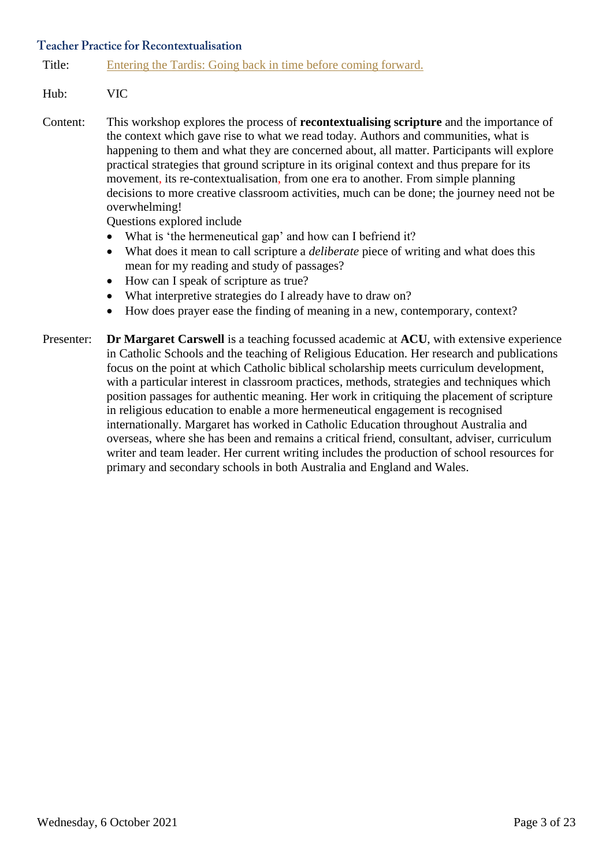# **Teacher Practice for Recontextualisation**

Title: [Entering the Tardis: Going back in time before coming forward.](https://divinity.zoom.us/meeting/register/tZAufuispzIrH9NbyyZFNDyeiiRQDkgbBS-A)

# Hub: VIC

Content: This workshop explores the process of **recontextualising scripture** and the importance of the context which gave rise to what we read today. Authors and communities, what is happening to them and what they are concerned about, all matter. Participants will explore practical strategies that ground scripture in its original context and thus prepare for its movement, its re-contextualisation, from one era to another. From simple planning decisions to more creative classroom activities, much can be done; the journey need not be overwhelming!

Questions explored include

- What is 'the hermeneutical gap' and how can I befriend it?
- What does it mean to call scripture a *deliberate* piece of writing and what does this mean for my reading and study of passages?
- How can I speak of scripture as true?
- What interpretive strategies do I already have to draw on?
- How does prayer ease the finding of meaning in a new, contemporary, context?
- Presenter: **Dr Margaret Carswell** is a teaching focussed academic at **ACU**, with extensive experience in Catholic Schools and the teaching of Religious Education. Her research and publications focus on the point at which Catholic biblical scholarship meets curriculum development, with a particular interest in classroom practices, methods, strategies and techniques which position passages for authentic meaning. Her work in critiquing the placement of scripture in religious education to enable a more hermeneutical engagement is recognised internationally. Margaret has worked in Catholic Education throughout Australia and overseas, where she has been and remains a critical friend, consultant, adviser, curriculum writer and team leader. Her current writing includes the production of school resources for primary and secondary schools in both Australia and England and Wales.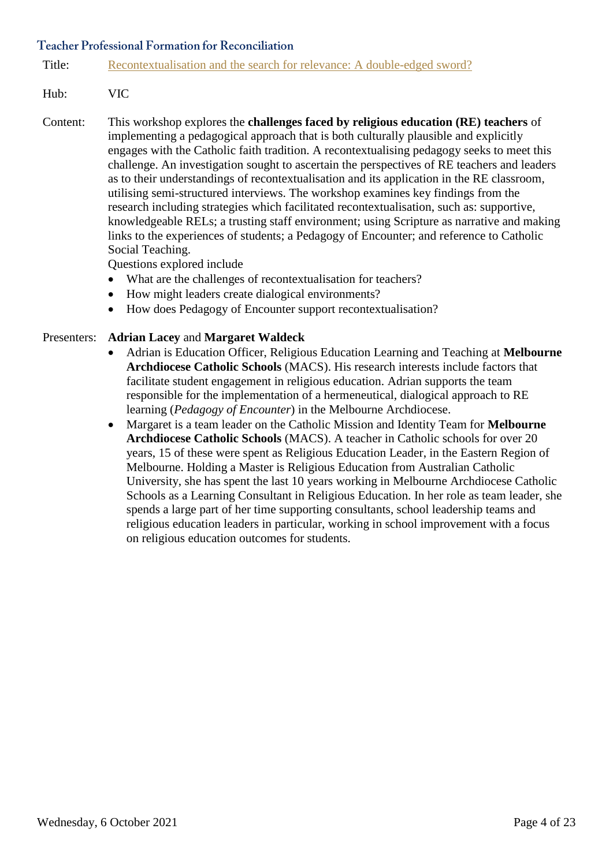Title: [Recontextualisation and the search for relevance: A double-edged sword?](https://divinity.zoom.us/meeting/register/tZMsdOmspz4pGNYLuNpR-OShCbvd0RaLOhdd)

# Hub: VIC

Content: This workshop explores the **challenges faced by religious education (RE) teachers** of implementing a pedagogical approach that is both culturally plausible and explicitly engages with the Catholic faith tradition. A recontextualising pedagogy seeks to meet this challenge. An investigation sought to ascertain the perspectives of RE teachers and leaders as to their understandings of recontextualisation and its application in the RE classroom, utilising semi-structured interviews. The workshop examines key findings from the research including strategies which facilitated recontextualisation, such as: supportive, knowledgeable RELs; a trusting staff environment; using Scripture as narrative and making links to the experiences of students; a Pedagogy of Encounter; and reference to Catholic Social Teaching.

Questions explored include

- What are the challenges of recontextualisation for teachers?
- How might leaders create dialogical environments?
- How does Pedagogy of Encounter support recontextualisation?

# Presenters: **Adrian Lacey** and **Margaret Waldeck**

- Adrian is Education Officer, Religious Education Learning and Teaching at **Melbourne Archdiocese Catholic Schools** (MACS). His research interests include factors that facilitate student engagement in religious education. Adrian supports the team responsible for the implementation of a hermeneutical, dialogical approach to RE learning (*Pedagogy of Encounter*) in the Melbourne Archdiocese.
- Margaret is a team leader on the Catholic Mission and Identity Team for **Melbourne Archdiocese Catholic Schools** (MACS). A teacher in Catholic schools for over 20 years, 15 of these were spent as Religious Education Leader, in the Eastern Region of Melbourne. Holding a Master is Religious Education from Australian Catholic University, she has spent the last 10 years working in Melbourne Archdiocese Catholic Schools as a Learning Consultant in Religious Education. In her role as team leader, she spends a large part of her time supporting consultants, school leadership teams and religious education leaders in particular, working in school improvement with a focus on religious education outcomes for students.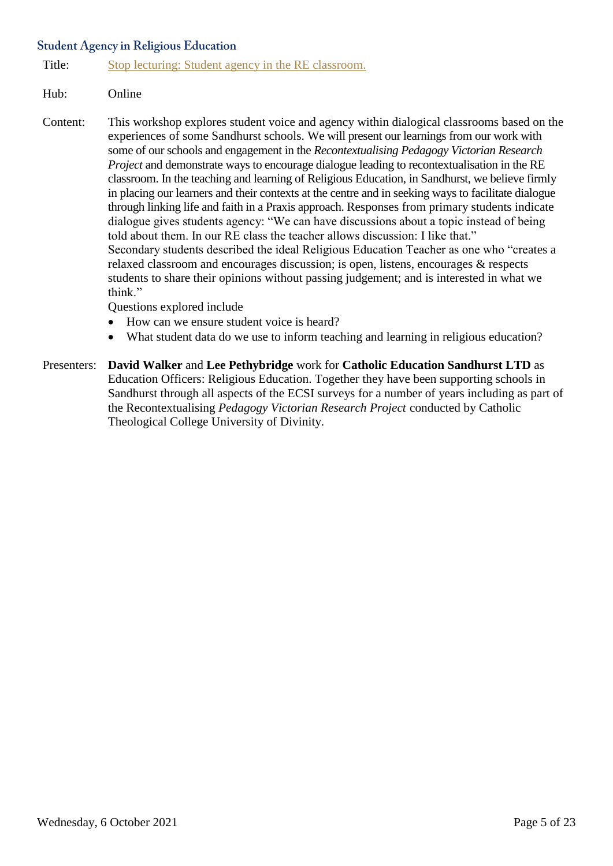# **Student Agency in Religious Education**

Title: [Stop lecturing: Student agency in the RE classroom.](https://divinity.zoom.us/meeting/register/tZ0sfuuprDMpG9TXQvNlbm8rNpS19CIPudE8)

# Hub: Online

Content: This workshop explores student voice and agency within dialogical classrooms based on the experiences of some Sandhurst schools. We will present our learnings from our work with some of our schools and engagement in the *Recontextualising Pedagogy Victorian Research Project* and demonstrate ways to encourage dialogue leading to recontextualisation in the RE classroom. In the teaching and learning of Religious Education, in Sandhurst, we believe firmly in placing our learners and their contexts at the centre and in seeking ways to facilitate dialogue through linking life and faith in a Praxis approach. Responses from primary students indicate dialogue gives students agency: "We can have discussions about a topic instead of being told about them. In our RE class the teacher allows discussion: I like that." Secondary students described the ideal Religious Education Teacher as one who "creates a relaxed classroom and encourages discussion; is open, listens, encourages & respects students to share their opinions without passing judgement; and is interested in what we think."

Questions explored include

- How can we ensure student voice is heard?
- What student data do we use to inform teaching and learning in religious education?
- Presenters: **David Walker** and **Lee Pethybridge** work for **Catholic Education Sandhurst LTD** as Education Officers: Religious Education. Together they have been supporting schools in Sandhurst through all aspects of the ECSI surveys for a number of years including as part of the Recontextualising *Pedagogy Victorian Research Project* conducted by Catholic Theological College University of Divinity.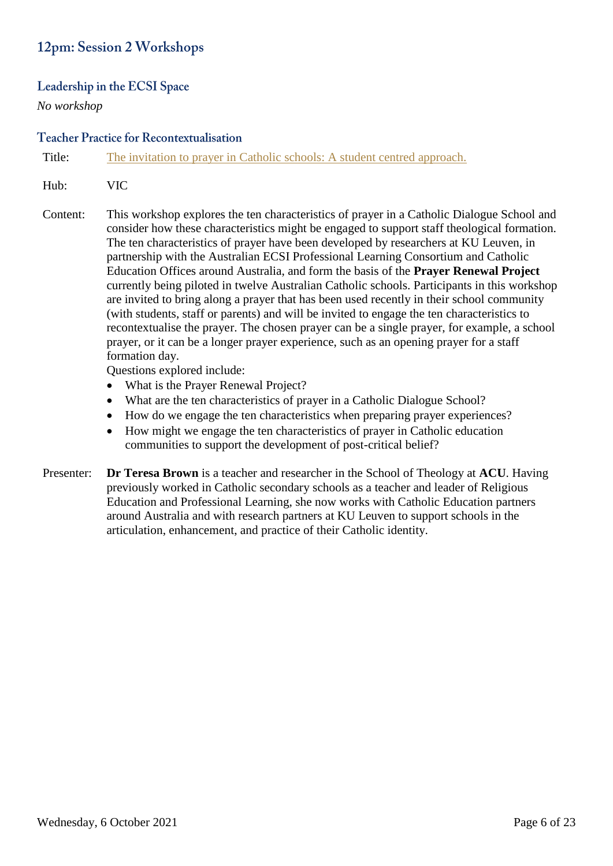# 12pm: Session 2 Workshops

# Leadership in the ECSI Space

*No workshop*

# **Teacher Practice for Recontextualisation**

Title: [The invitation to prayer in Catholic schools: A student centred approach.](https://divinity.zoom.us/meeting/register/tZcsd-Cgqj8pHdWYCiLoyOXffynX2HVfwSw-)

- Hub: VIC
- Content: This workshop explores the ten characteristics of prayer in a Catholic Dialogue School and consider how these characteristics might be engaged to support staff theological formation. The ten characteristics of prayer have been developed by researchers at KU Leuven, in partnership with the Australian ECSI Professional Learning Consortium and Catholic Education Offices around Australia, and form the basis of the **Prayer Renewal Project** currently being piloted in twelve Australian Catholic schools. Participants in this workshop are invited to bring along a prayer that has been used recently in their school community (with students, staff or parents) and will be invited to engage the ten characteristics to recontextualise the prayer. The chosen prayer can be a single prayer, for example, a school prayer, or it can be a longer prayer experience, such as an opening prayer for a staff formation day.

Questions explored include:

- What is the Prayer Renewal Project?
- What are the ten characteristics of prayer in a Catholic Dialogue School?
- How do we engage the ten characteristics when preparing prayer experiences?
- How might we engage the ten characteristics of prayer in Catholic education communities to support the development of post-critical belief?
- Presenter: **Dr Teresa Brown** is a teacher and researcher in the School of Theology at **ACU**. Having previously worked in Catholic secondary schools as a teacher and leader of Religious Education and Professional Learning, she now works with Catholic Education partners around Australia and with research partners at KU Leuven to support schools in the articulation, enhancement, and practice of their Catholic identity.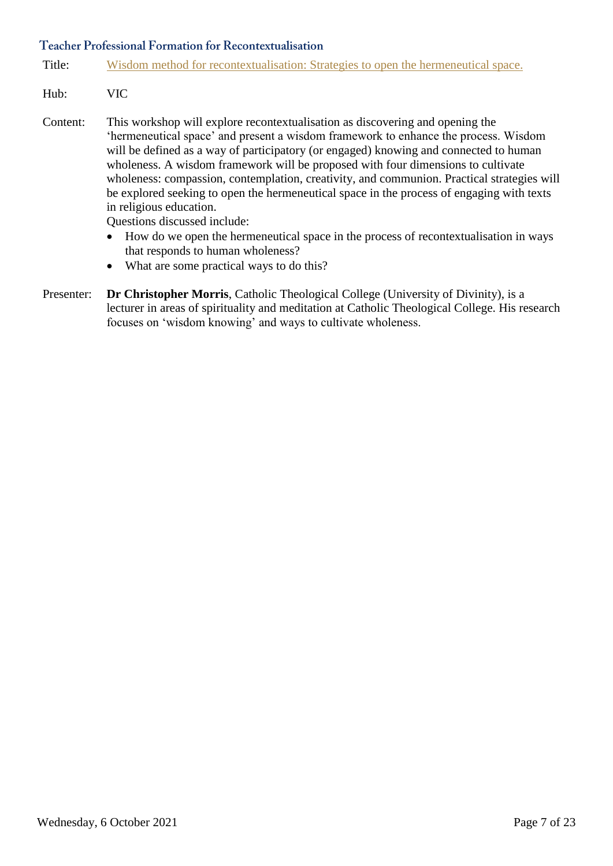Title: [Wisdom method for recontextualisation: Strategies to open the hermeneutical space.](https://divinity.zoom.us/meeting/register/tZAuceuqqDkqGdIjuPJa6TufxQ8l6ancWK7P)

- Hub: VIC
- Content: This workshop will explore recontextualisation as discovering and opening the 'hermeneutical space' and present a wisdom framework to enhance the process. Wisdom will be defined as a way of participatory (or engaged) knowing and connected to human wholeness. A wisdom framework will be proposed with four dimensions to cultivate wholeness: compassion, contemplation, creativity, and communion. Practical strategies will be explored seeking to open the hermeneutical space in the process of engaging with texts in religious education.

Questions discussed include:

- How do we open the hermeneutical space in the process of recontextualisation in ways that responds to human wholeness?
- What are some practical ways to do this?
- Presenter: **Dr Christopher Morris**, Catholic Theological College (University of Divinity), is a lecturer in areas of spirituality and meditation at Catholic Theological College. His research focuses on 'wisdom knowing' and ways to cultivate wholeness.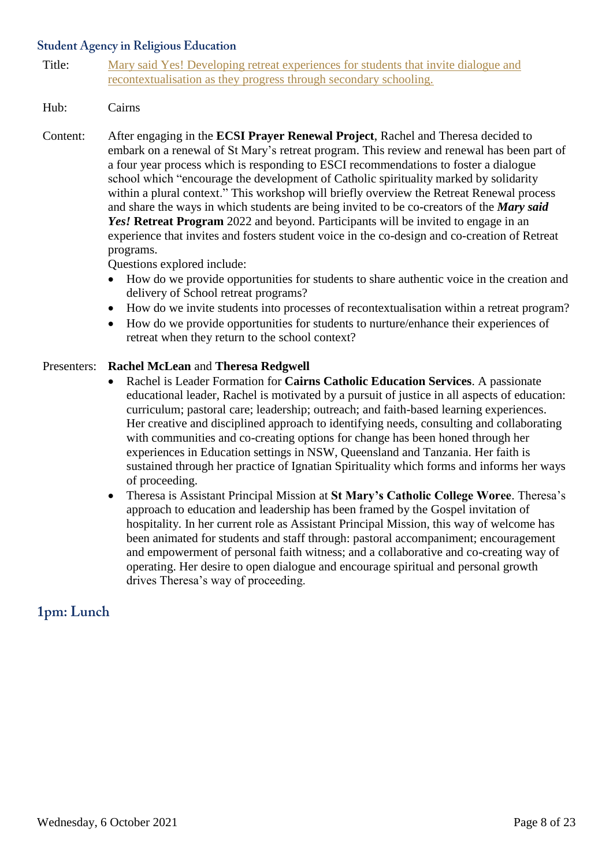# **Student Agency in Religious Education**

Title: [Mary said Yes! Developing retreat experiences for students that invite dialogue and](https://divinity.zoom.us/meeting/register/tZEtdO2gqzwjGNwkqNDSU1-hX2jDwnAAxysI)  [recontextualisation as they progress through secondary schooling.](https://divinity.zoom.us/meeting/register/tZEtdO2gqzwjGNwkqNDSU1-hX2jDwnAAxysI)

# Hub: Cairns

Content: After engaging in the **ECSI Prayer Renewal Project**, Rachel and Theresa decided to embark on a renewal of St Mary's retreat program. This review and renewal has been part of a four year process which is responding to ESCI recommendations to foster a dialogue school which "encourage the development of Catholic spirituality marked by solidarity within a plural context." This workshop will briefly overview the Retreat Renewal process and share the ways in which students are being invited to be co-creators of the *Mary said Yes!* **Retreat Program** 2022 and beyond. Participants will be invited to engage in an experience that invites and fosters student voice in the co-design and co-creation of Retreat programs.

Questions explored include:

- How do we provide opportunities for students to share authentic voice in the creation and delivery of School retreat programs?
- How do we invite students into processes of recontextualisation within a retreat program?
- How do we provide opportunities for students to nurture/enhance their experiences of retreat when they return to the school context?

#### Presenters: **Rachel McLean** and **Theresa Redgwell**

- Rachel is Leader Formation for **Cairns Catholic Education Services**. A passionate educational leader, Rachel is motivated by a pursuit of justice in all aspects of education: curriculum; pastoral care; leadership; outreach; and faith-based learning experiences. Her creative and disciplined approach to identifying needs, consulting and collaborating with communities and co-creating options for change has been honed through her experiences in Education settings in NSW, Queensland and Tanzania. Her faith is sustained through her practice of Ignatian Spirituality which forms and informs her ways of proceeding.
- Theresa is Assistant Principal Mission at **St Mary's Catholic College Woree**. Theresa's approach to education and leadership has been framed by the Gospel invitation of hospitality. In her current role as Assistant Principal Mission, this way of welcome has been animated for students and staff through: pastoral accompaniment; encouragement and empowerment of personal faith witness; and a collaborative and co-creating way of operating. Her desire to open dialogue and encourage spiritual and personal growth drives Theresa's way of proceeding.

# 1pm: Lunch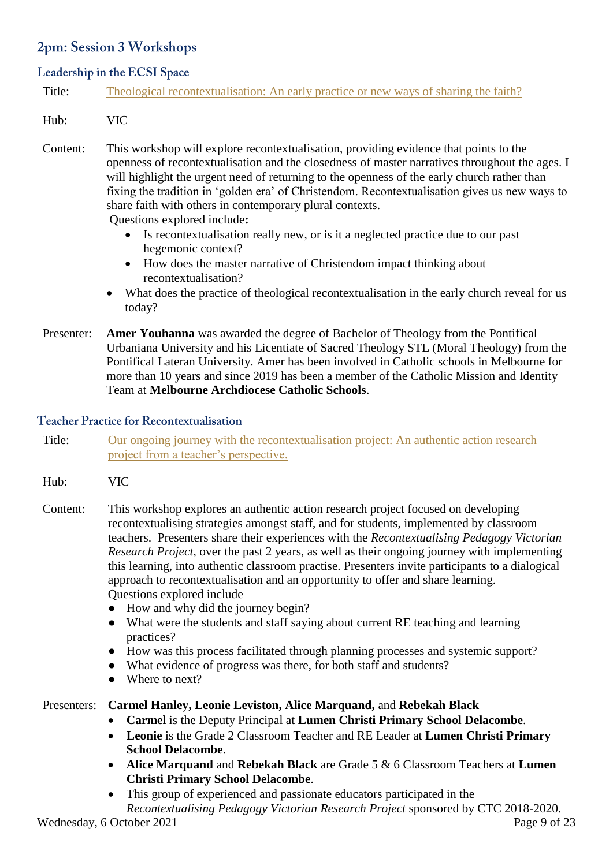# 2pm: Session 3 Workshops

# Leadership in the ECSI Space

|  | Title: |  | Theological recontextualisation: An early practice or new ways of sharing the faith? |  |  |  |  |  |  |  |  |  |  |
|--|--------|--|--------------------------------------------------------------------------------------|--|--|--|--|--|--|--|--|--|--|
|--|--------|--|--------------------------------------------------------------------------------------|--|--|--|--|--|--|--|--|--|--|

# Hub: VIC

Content: This workshop will explore recontextualisation, providing evidence that points to the openness of recontextualisation and the closedness of master narratives throughout the ages. I will highlight the urgent need of returning to the openness of the early church rather than fixing the tradition in 'golden era' of Christendom. Recontextualisation gives us new ways to share faith with others in contemporary plural contexts. Questions explored include**:**

 Is recontextualisation really new, or is it a neglected practice due to our past hegemonic context?

- How does the master narrative of Christendom impact thinking about recontextualisation?
- What does the practice of theological recontextualisation in the early church reveal for us today?
- Presenter: **Amer Youhanna** was awarded the degree of Bachelor of Theology from the Pontifical Urbaniana University and his Licentiate of Sacred Theology STL (Moral Theology) from the Pontifical Lateran University. Amer has been involved in Catholic schools in Melbourne for more than 10 years and since 2019 has been a member of the Catholic Mission and Identity Team at **Melbourne Archdiocese Catholic Schools**.

# **Teacher Practice for Recontextualisation**

- Title: [Our ongoing journey with the recontextualisation](https://divinity.zoom.us/meeting/register/tZYqc-urqDkjHdbvQN_OJTss09ssWrLwqd5t) project: An authentic action research [project from a teacher's perspective.](https://divinity.zoom.us/meeting/register/tZYqc-urqDkjHdbvQN_OJTss09ssWrLwqd5t)
- Hub: VIC
- Content: This workshop explores an authentic action research project focused on developing recontextualising strategies amongst staff, and for students, implemented by classroom teachers. Presenters share their experiences with the *Recontextualising Pedagogy Victorian Research Project*, over the past 2 years, as well as their ongoing journey with implementing this learning, into authentic classroom practise. Presenters invite participants to a dialogical approach to recontextualisation and an opportunity to offer and share learning. Questions explored include
	- How and why did the journey begin?
	- What were the students and staff saying about current RE teaching and learning practices?
	- How was this process facilitated through planning processes and systemic support?
	- What evidence of progress was there, for both staff and students?
	- Where to next?

# Presenters: **Carmel Hanley, Leonie Leviston, Alice Marquand,** and **Rebekah Black**

- **Carmel** is the Deputy Principal at **Lumen Christi Primary School Delacombe**.
- **Leonie** is the Grade 2 Classroom Teacher and RE Leader at **Lumen Christi Primary School Delacombe**.
- **Alice Marquand** and **Rebekah Black** are Grade 5 & 6 Classroom Teachers at **Lumen Christi Primary School Delacombe**.
- This group of experienced and passionate educators participated in the *Recontextualising Pedagogy Victorian Research Project* sponsored by CTC 2018-2020.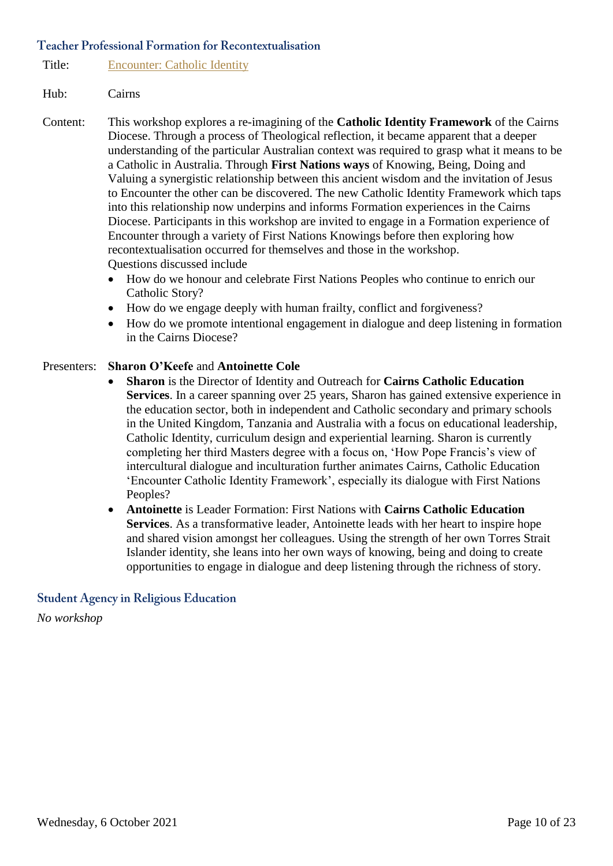Title: [Encounter: Catholic Identity](https://divinity.zoom.us/meeting/register/tZwpdO-hpjMvGdD9gdNvHL6dQUg64jGYa_9i)

#### Hub: Cairns

- Content: This workshop explores a re-imagining of the **Catholic Identity Framework** of the Cairns Diocese. Through a process of Theological reflection, it became apparent that a deeper understanding of the particular Australian context was required to grasp what it means to be a Catholic in Australia. Through **First Nations ways** of Knowing, Being, Doing and Valuing a synergistic relationship between this ancient wisdom and the invitation of Jesus to Encounter the other can be discovered. The new Catholic Identity Framework which taps into this relationship now underpins and informs Formation experiences in the Cairns Diocese. Participants in this workshop are invited to engage in a Formation experience of Encounter through a variety of First Nations Knowings before then exploring how recontextualisation occurred for themselves and those in the workshop. Questions discussed include
	- How do we honour and celebrate First Nations Peoples who continue to enrich our Catholic Story?
	- How do we engage deeply with human frailty, conflict and forgiveness?
	- How do we promote intentional engagement in dialogue and deep listening in formation in the Cairns Diocese?

#### Presenters: **Sharon O'Keefe** and **Antoinette Cole**

- **Sharon** is the Director of Identity and Outreach for **Cairns Catholic Education Services**. In a career spanning over 25 years, Sharon has gained extensive experience in the education sector, both in independent and Catholic secondary and primary schools in the United Kingdom, Tanzania and Australia with a focus on educational leadership, Catholic Identity, curriculum design and experiential learning. Sharon is currently completing her third Masters degree with a focus on, 'How Pope Francis's view of intercultural dialogue and inculturation further animates Cairns, Catholic Education 'Encounter Catholic Identity Framework', especially its dialogue with First Nations Peoples?
- **Antoinette** is Leader Formation: First Nations with **Cairns Catholic Education Services**. As a transformative leader, Antoinette leads with her heart to inspire hope and shared vision amongst her colleagues. Using the strength of her own Torres Strait Islander identity, she leans into her own ways of knowing, being and doing to create opportunities to engage in dialogue and deep listening through the richness of story.

# **Student Agency in Religious Education**

*No workshop*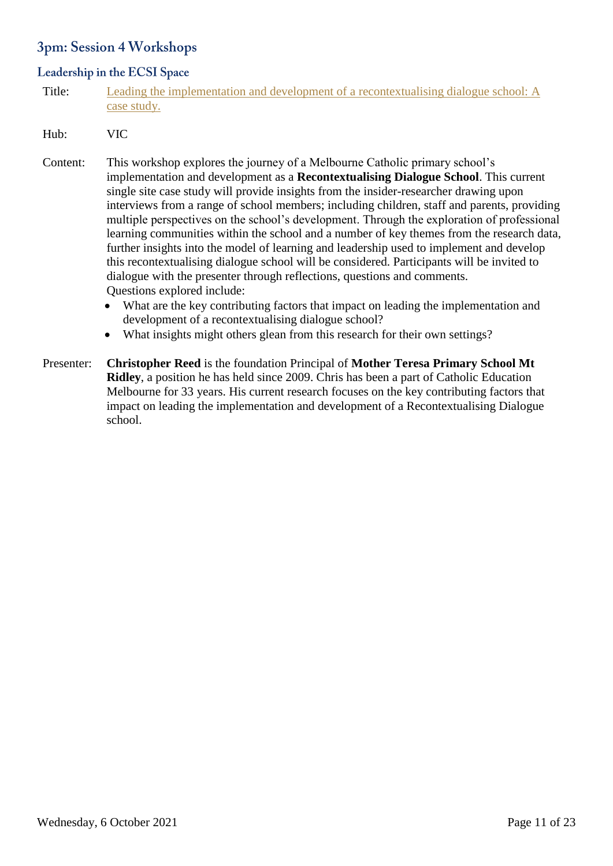# 3pm: Session 4 Workshops

# Leadership in the ECSI Space

Title: [Leading the implementation and development of a recontextualising dialogue school: A](https://divinity.zoom.us/meeting/register/tZMrc-uvqT0sH9cGKH68RkTZqbLzD3FylkKD) [case study.](https://divinity.zoom.us/meeting/register/tZMrc-uvqT0sH9cGKH68RkTZqbLzD3FylkKD)

#### Hub: VIC

- Content: This workshop explores the journey of a Melbourne Catholic primary school's implementation and development as a **Recontextualising Dialogue School**. This current single site case study will provide insights from the insider-researcher drawing upon interviews from a range of school members; including children, staff and parents, providing multiple perspectives on the school's development. Through the exploration of professional learning communities within the school and a number of key themes from the research data, further insights into the model of learning and leadership used to implement and develop this recontextualising dialogue school will be considered. Participants will be invited to dialogue with the presenter through reflections, questions and comments. Questions explored include:
	- What are the key contributing factors that impact on leading the implementation and development of a recontextualising dialogue school?
	- What insights might others glean from this research for their own settings?

Presenter: **Christopher Reed** is the foundation Principal of **Mother Teresa Primary School Mt Ridley**, a position he has held since 2009. Chris has been a part of Catholic Education Melbourne for 33 years. His current research focuses on the key contributing factors that impact on leading the implementation and development of a Recontextualising Dialogue school.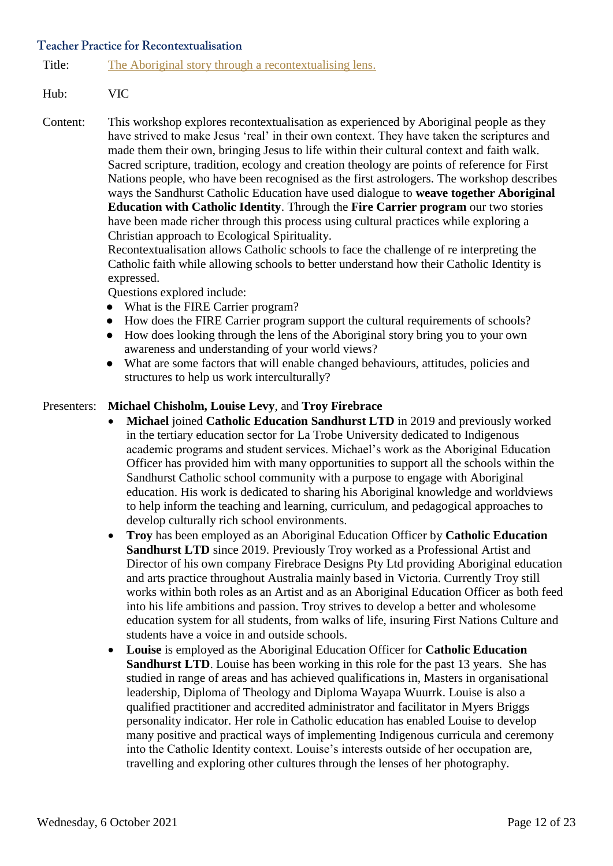#### **Teacher Practice for Recontextualisation**

Title: [The Aboriginal story through a recontextualising lens.](https://divinity.zoom.us/meeting/register/tZModu2ppj0rH9cSBmpk-_kbJ8qeK4fjktbG)

# Hub: VIC

Content: This workshop explores recontextualisation as experienced by Aboriginal people as they have strived to make Jesus 'real' in their own context. They have taken the scriptures and made them their own, bringing Jesus to life within their cultural context and faith walk. Sacred scripture, tradition, ecology and creation theology are points of reference for First Nations people, who have been recognised as the first astrologers. The workshop describes ways the Sandhurst Catholic Education have used dialogue to **weave together Aboriginal Education with Catholic Identity**. Through the **Fire Carrier program** our two stories have been made richer through this process using cultural practices while exploring a Christian approach to Ecological Spirituality.

Recontextualisation allows Catholic schools to face the challenge of re interpreting the Catholic faith while allowing schools to better understand how their Catholic Identity is expressed.

Questions explored include:

- What is the FIRE Carrier program?
- How does the FIRE Carrier program support the cultural requirements of schools?
- How does looking through the lens of the Aboriginal story bring you to your own awareness and understanding of your world views?
- What are some factors that will enable changed behaviours, attitudes, policies and structures to help us work interculturally?

# Presenters: **Michael Chisholm, Louise Levy**, and **Troy Firebrace**

- **Michael** joined **Catholic Education Sandhurst LTD** in 2019 and previously worked in the tertiary education sector for La Trobe University dedicated to Indigenous academic programs and student services. Michael's work as the Aboriginal Education Officer has provided him with many opportunities to support all the schools within the Sandhurst Catholic school community with a purpose to engage with Aboriginal education. His work is dedicated to sharing his Aboriginal knowledge and worldviews to help inform the teaching and learning, curriculum, and pedagogical approaches to develop culturally rich school environments.
- **Troy** has been employed as an Aboriginal Education Officer by **Catholic Education Sandhurst LTD** since 2019. Previously Troy worked as a Professional Artist and Director of his own company Firebrace Designs Pty Ltd providing Aboriginal education and arts practice throughout Australia mainly based in Victoria. Currently Troy still works within both roles as an Artist and as an Aboriginal Education Officer as both feed into his life ambitions and passion. Troy strives to develop a better and wholesome education system for all students, from walks of life, insuring First Nations Culture and students have a voice in and outside schools.
- **Louise** is employed as the Aboriginal Education Officer for **Catholic Education Sandhurst LTD**. Louise has been working in this role for the past 13 years. She has studied in range of areas and has achieved qualifications in, Masters in organisational leadership, Diploma of Theology and Diploma Wayapa Wuurrk. Louise is also a qualified practitioner and accredited administrator and facilitator in Myers Briggs personality indicator. Her role in Catholic education has enabled Louise to develop many positive and practical ways of implementing Indigenous curricula and ceremony into the Catholic Identity context. Louise's interests outside of her occupation are, travelling and exploring other cultures through the lenses of her photography.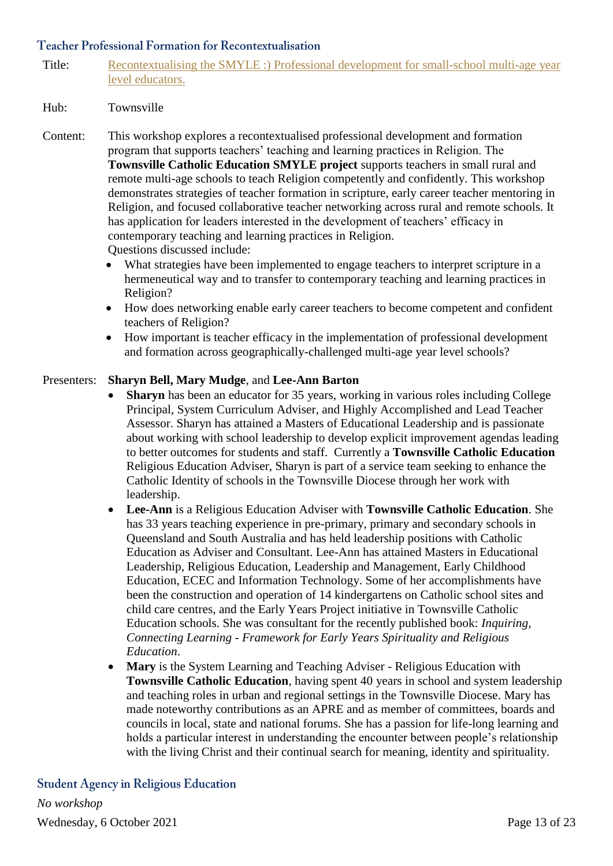Title: Recontextualising [the SMYLE :\) Professional development for small-school multi-age year](https://divinity.zoom.us/meeting/register/tZ0qceiorzwqGNxseUpgjXaBDbfjR-sYzdDL)  [level educators.](https://divinity.zoom.us/meeting/register/tZ0qceiorzwqGNxseUpgjXaBDbfjR-sYzdDL)

#### Hub: Townsville

- Content: This workshop explores a recontextualised professional development and formation program that supports teachers' teaching and learning practices in Religion. The **Townsville Catholic Education SMYLE project** supports teachers in small rural and remote multi-age schools to teach Religion competently and confidently. This workshop demonstrates strategies of teacher formation in scripture, early career teacher mentoring in Religion, and focused collaborative teacher networking across rural and remote schools. It has application for leaders interested in the development of teachers' efficacy in contemporary teaching and learning practices in Religion. Questions discussed include:
	- What strategies have been implemented to engage teachers to interpret scripture in a hermeneutical way and to transfer to contemporary teaching and learning practices in Religion?
	- How does networking enable early career teachers to become competent and confident teachers of Religion?
	- How important is teacher efficacy in the implementation of professional development and formation across geographically-challenged multi-age year level schools?

# Presenters: **Sharyn Bell, Mary Mudge**, and **Lee-Ann Barton**

- **Sharyn** has been an educator for 35 years, working in various roles including College Principal, System Curriculum Adviser, and Highly Accomplished and Lead Teacher Assessor. Sharyn has attained a Masters of Educational Leadership and is passionate about working with school leadership to develop explicit improvement agendas leading to better outcomes for students and staff. Currently a **Townsville Catholic Education** Religious Education Adviser, Sharyn is part of a service team seeking to enhance the Catholic Identity of schools in the Townsville Diocese through her work with leadership.
- **Lee-Ann** is a Religious Education Adviser with **Townsville Catholic Education**. She has 33 years teaching experience in pre-primary, primary and secondary schools in Queensland and South Australia and has held leadership positions with Catholic Education as Adviser and Consultant. Lee-Ann has attained Masters in Educational Leadership, Religious Education, Leadership and Management, Early Childhood Education, ECEC and Information Technology. Some of her accomplishments have been the construction and operation of 14 kindergartens on Catholic school sites and child care centres, and the Early Years Project initiative in Townsville Catholic Education schools. She was consultant for the recently published book: *Inquiring, Connecting Learning - Framework for Early Years Spirituality and Religious Education*.
- **Mary** is the System Learning and Teaching Adviser Religious Education with **Townsville Catholic Education**, having spent 40 years in school and system leadership and teaching roles in urban and regional settings in the Townsville Diocese. Mary has made noteworthy contributions as an APRE and as member of committees, boards and councils in local, state and national forums. She has a passion for life-long learning and holds a particular interest in understanding the encounter between people's relationship with the living Christ and their continual search for meaning, identity and spirituality.

**Student Agency in Religious Education** *No workshop*Wednesday, 6 October 2021 Page 13 of 23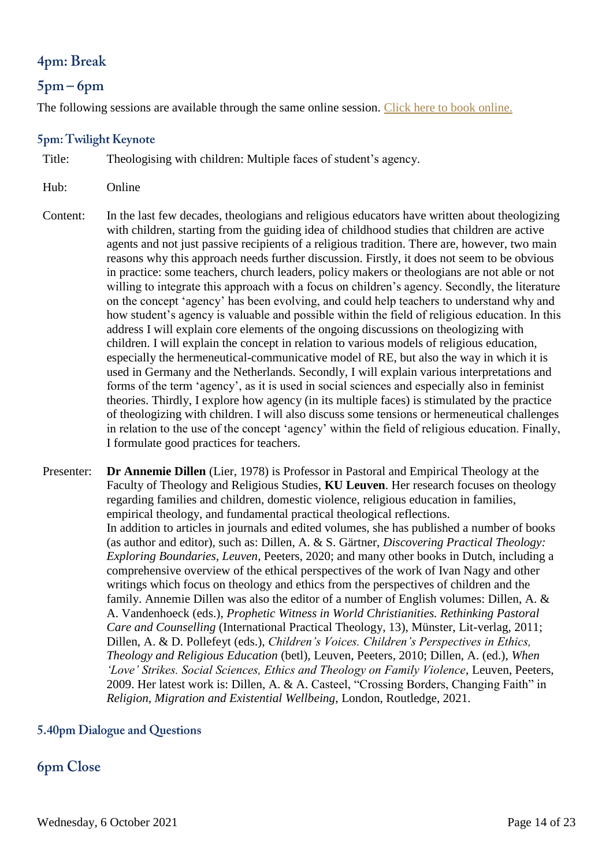# 4pm: Break

# $5pm-6pm$

The following sessions are available through the same online session. [Click here to book online.](https://divinity.zoom.us/meeting/register/tZElduuqrzwuH9VXPm_XQsIzdScNIWudOPIw)

# 5pm: Twilight Keynote

Title: Theologising with children: Multiple faces of student's agency.

- Hub: Online
- Content: In the last few decades, theologians and religious educators have written about theologizing with children, starting from the guiding idea of childhood studies that children are active agents and not just passive recipients of a religious tradition. There are, however, two main reasons why this approach needs further discussion. Firstly, it does not seem to be obvious in practice: some teachers, church leaders, policy makers or theologians are not able or not willing to integrate this approach with a focus on children's agency. Secondly, the literature on the concept 'agency' has been evolving, and could help teachers to understand why and how student's agency is valuable and possible within the field of religious education. In this address I will explain core elements of the ongoing discussions on theologizing with children. I will explain the concept in relation to various models of religious education, especially the hermeneutical-communicative model of RE, but also the way in which it is used in Germany and the Netherlands. Secondly, I will explain various interpretations and forms of the term 'agency', as it is used in social sciences and especially also in feminist theories. Thirdly, I explore how agency (in its multiple faces) is stimulated by the practice of theologizing with children. I will also discuss some tensions or hermeneutical challenges in relation to the use of the concept 'agency' within the field of religious education. Finally, I formulate good practices for teachers.
- Presenter: **Dr Annemie Dillen** (Lier, 1978) is Professor in Pastoral and Empirical Theology at the Faculty of Theology and Religious Studies, **KU Leuven**. Her research focuses on theology regarding families and children, domestic violence, religious education in families, empirical theology, and fundamental practical theological reflections. In addition to articles in journals and edited volumes, she has published a number of books (as author and editor), such as: Dillen, A. & S. Gärtner, *Discovering Practical Theology: Exploring Boundaries, Leuven,* Peeters, 2020; and many other books in Dutch, including a comprehensive overview of the ethical perspectives of the work of Ivan Nagy and other writings which focus on theology and ethics from the perspectives of children and the family. Annemie Dillen was also the editor of a number of English volumes: Dillen, A. & A. Vandenhoeck (eds.), *Prophetic Witness in World Christianities. Rethinking Pastoral Care and Counselling* (International Practical Theology, 13), Münster, Lit-verlag, 2011; Dillen, A. & D. Pollefeyt (eds.), *Children's Voices. Children's Perspectives in Ethics, Theology and Religious Education* (betl), Leuven, Peeters, 2010; Dillen, A. (ed.), *When 'Love' Strikes. Social Sciences, Ethics and Theology on Family Violence*, Leuven, Peeters, 2009. Her latest work is: Dillen, A. & A. Casteel, "Crossing Borders, Changing Faith" in *Religion, Migration and Existential Wellbeing*, London, Routledge, 2021.

# 5.40pm Dialogue and Questions

# **6pm Close**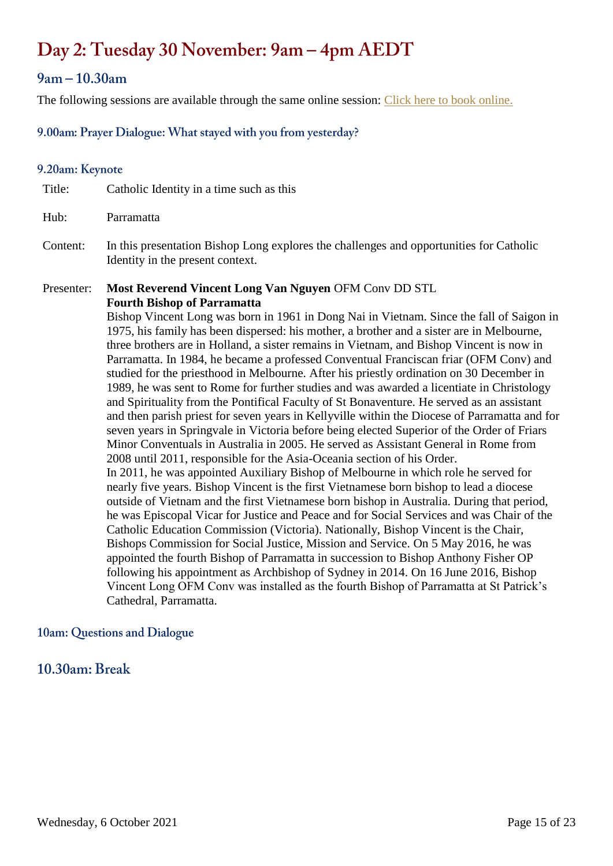# Day 2: Tuesday 30 November: 9am – 4pm AEDT

# $9am - 10.30am$

The following sessions are available through the same online session: [Click here to book online.](https://divinity.zoom.us/meeting/register/tZAqcuiqqDwtGdamCbzkNpRcEiBI6-xyNUzb)

# 9.00am: Prayer Dialogue: What stayed with you from yesterday?

# 9.20am: Keynote

Title: Catholic Identity in a time such as this Hub: Parramatta Content: In this presentation Bishop Long explores the challenges and opportunities for Catholic Identity in the present context. Presenter: **Most Reverend Vincent Long Van Nguyen** OFM Conv DD STL **Fourth Bishop of Parramatta** Bishop Vincent Long was born in 1961 in Dong Nai in Vietnam. Since the fall of Saigon in 1975, his family has been dispersed: his mother, a brother and a sister are in Melbourne, three brothers are in Holland, a sister remains in Vietnam, and Bishop Vincent is now in Parramatta. In 1984, he became a professed Conventual Franciscan friar (OFM Conv) and studied for the priesthood in Melbourne. After his priestly ordination on 30 December in 1989, he was sent to Rome for further studies and was awarded a licentiate in Christology and Spirituality from the Pontifical Faculty of St Bonaventure. He served as an assistant and then parish priest for seven years in Kellyville within the Diocese of Parramatta and for seven years in Springvale in Victoria before being elected Superior of the Order of Friars Minor Conventuals in Australia in 2005. He served as Assistant General in Rome from 2008 until 2011, responsible for the Asia-Oceania section of his Order. In 2011, he was appointed Auxiliary Bishop of Melbourne in which role he served for nearly five years. Bishop Vincent is the first Vietnamese born bishop to lead a diocese

outside of Vietnam and the first Vietnamese born bishop in Australia. During that period, he was Episcopal Vicar for Justice and Peace and for Social Services and was Chair of the Catholic Education Commission (Victoria). Nationally, Bishop Vincent is the Chair, Bishops Commission for Social Justice, Mission and Service. On 5 May 2016, he was appointed the fourth Bishop of Parramatta in succession to Bishop Anthony Fisher OP following his appointment as Archbishop of Sydney in 2014. On 16 June 2016, Bishop Vincent Long OFM Conv was installed as the fourth Bishop of Parramatta at St Patrick's Cathedral, Parramatta.

# 10am: Questions and Dialogue

# $10.30$ am: Break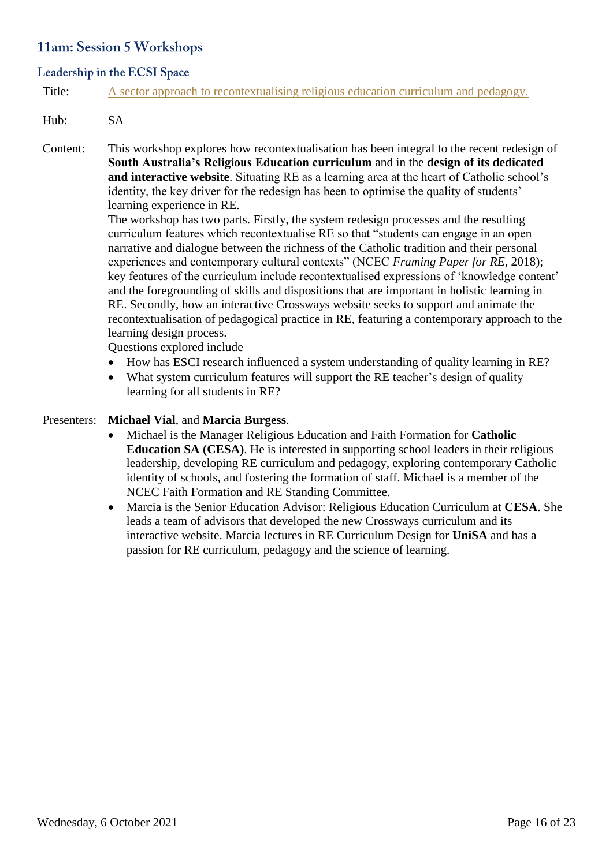# 11am: Session 5 Workshops

# Leadership in the ECSI Space

Title: [A sector approach to recontextualising religious education curriculum and pedagogy.](https://divinity.zoom.us/meeting/register/tZErf--qpjooEtQ3ikB3z7QH05dLIu2FDitG)

# Hub: SA

Content: This workshop explores how recontextualisation has been integral to the recent redesign of **South Australia's Religious Education curriculum** and in the **design of its dedicated and interactive website**. Situating RE as a learning area at the heart of Catholic school's identity, the key driver for the redesign has been to optimise the quality of students' learning experience in RE.

> The workshop has two parts. Firstly, the system redesign processes and the resulting curriculum features which recontextualise RE so that "students can engage in an open narrative and dialogue between the richness of the Catholic tradition and their personal experiences and contemporary cultural contexts" (NCEC *Framing Paper for RE*, 2018); key features of the curriculum include recontextualised expressions of 'knowledge content' and the foregrounding of skills and dispositions that are important in holistic learning in RE. Secondly, how an interactive Crossways website seeks to support and animate the recontextualisation of pedagogical practice in RE, featuring a contemporary approach to the learning design process.

Questions explored include

- How has ESCI research influenced a system understanding of quality learning in RE?
- What system curriculum features will support the RE teacher's design of quality learning for all students in RE?

#### Presenters: **Michael Vial**, and **Marcia Burgess**.

- Michael is the Manager Religious Education and Faith Formation for **Catholic Education SA (CESA)**. He is interested in supporting school leaders in their religious leadership, developing RE curriculum and pedagogy, exploring contemporary Catholic identity of schools, and fostering the formation of staff. Michael is a member of the NCEC Faith Formation and RE Standing Committee.
- Marcia is the Senior Education Advisor: Religious Education Curriculum at **CESA**. She leads a team of advisors that developed the new Crossways curriculum and its interactive website. Marcia lectures in RE Curriculum Design for **UniSA** and has a passion for RE curriculum, pedagogy and the science of learning.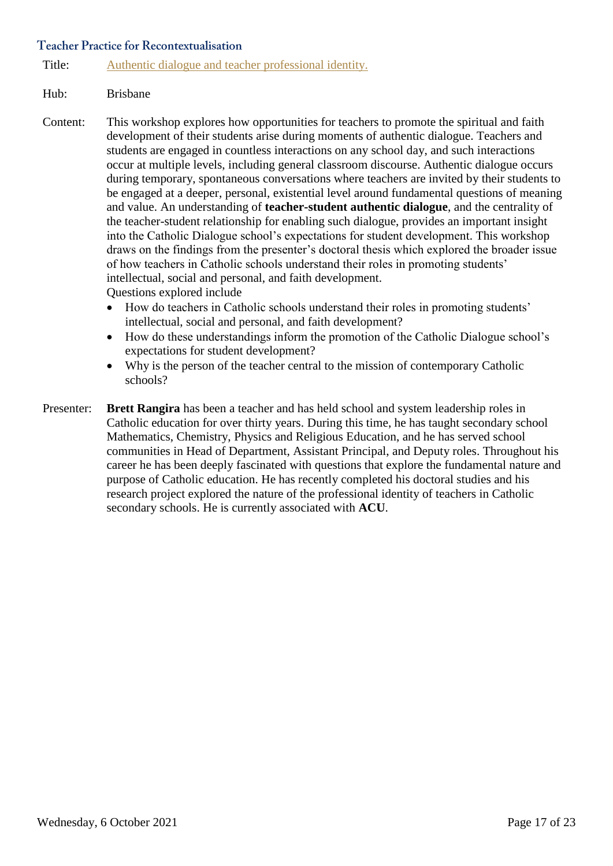#### **Teacher Practice for Recontextualisation**

Title: [Authentic dialogue and teacher professional identity.](https://divinity.zoom.us/meeting/register/tZEscuytqjIuH9LZjZnVNRNu2s8eHVAIzFKL)

#### Hub: Brisbane

- Content: This workshop explores how opportunities for teachers to promote the spiritual and faith development of their students arise during moments of authentic dialogue. Teachers and students are engaged in countless interactions on any school day, and such interactions occur at multiple levels, including general classroom discourse. Authentic dialogue occurs during temporary, spontaneous conversations where teachers are invited by their students to be engaged at a deeper, personal, existential level around fundamental questions of meaning and value. An understanding of **teacher-student authentic dialogue**, and the centrality of the teacher-student relationship for enabling such dialogue, provides an important insight into the Catholic Dialogue school's expectations for student development. This workshop draws on the findings from the presenter's doctoral thesis which explored the broader issue of how teachers in Catholic schools understand their roles in promoting students' intellectual, social and personal, and faith development. Questions explored include
	- How do teachers in Catholic schools understand their roles in promoting students' intellectual, social and personal, and faith development?
	- How do these understandings inform the promotion of the Catholic Dialogue school's expectations for student development?
	- Why is the person of the teacher central to the mission of contemporary Catholic schools?
- Presenter: **Brett Rangira** has been a teacher and has held school and system leadership roles in Catholic education for over thirty years. During this time, he has taught secondary school Mathematics, Chemistry, Physics and Religious Education, and he has served school communities in Head of Department, Assistant Principal, and Deputy roles. Throughout his career he has been deeply fascinated with questions that explore the fundamental nature and purpose of Catholic education. He has recently completed his doctoral studies and his research project explored the nature of the professional identity of teachers in Catholic secondary schools. He is currently associated with **ACU**.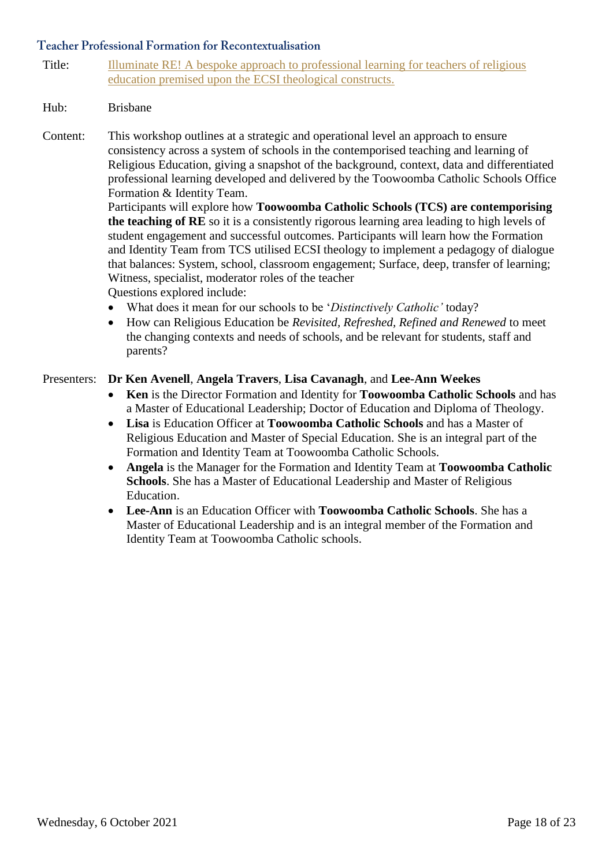Title: Illuminate RE! A bespoke approach to professional learning for teachers of religious [education premised upon the ECSI theological constructs.](https://divinity.zoom.us/meeting/register/tZwrcequpj0sEtT81j6HnFArEg9muZk-mNnR)

# Hub: Brisbane

Content: This workshop outlines at a strategic and operational level an approach to ensure consistency across a system of schools in the contemporised teaching and learning of Religious Education, giving a snapshot of the background, context, data and differentiated professional learning developed and delivered by the Toowoomba Catholic Schools Office Formation & Identity Team.

Participants will explore how **Toowoomba Catholic Schools (TCS) are contemporising the teaching of RE** so it is a consistently rigorous learning area leading to high levels of student engagement and successful outcomes. Participants will learn how the Formation and Identity Team from TCS utilised ECSI theology to implement a pedagogy of dialogue that balances: System, school, classroom engagement; Surface, deep, transfer of learning; Witness, specialist, moderator roles of the teacher Questions explored include:

- What does it mean for our schools to be '*Distinctively Catholic'* today?
- How can Religious Education be *Revisited, Refreshed, Refined and Renewed* to meet the changing contexts and needs of schools, and be relevant for students, staff and parents?

#### Presenters: **Dr Ken Avenell**, **Angela Travers**, **Lisa Cavanagh**, and **Lee-Ann Weekes**

- **Ken** is the Director Formation and Identity for **Toowoomba Catholic Schools** and has a Master of Educational Leadership; Doctor of Education and Diploma of Theology.
- **Lisa** is Education Officer at **Toowoomba Catholic Schools** and has a Master of Religious Education and Master of Special Education. She is an integral part of the Formation and Identity Team at Toowoomba Catholic Schools.
- **Angela** is the Manager for the Formation and Identity Team at **Toowoomba Catholic Schools**. She has a Master of Educational Leadership and Master of Religious Education.
- **Lee-Ann** is an Education Officer with **Toowoomba Catholic Schools**. She has a Master of Educational Leadership and is an integral member of the Formation and Identity Team at Toowoomba Catholic schools.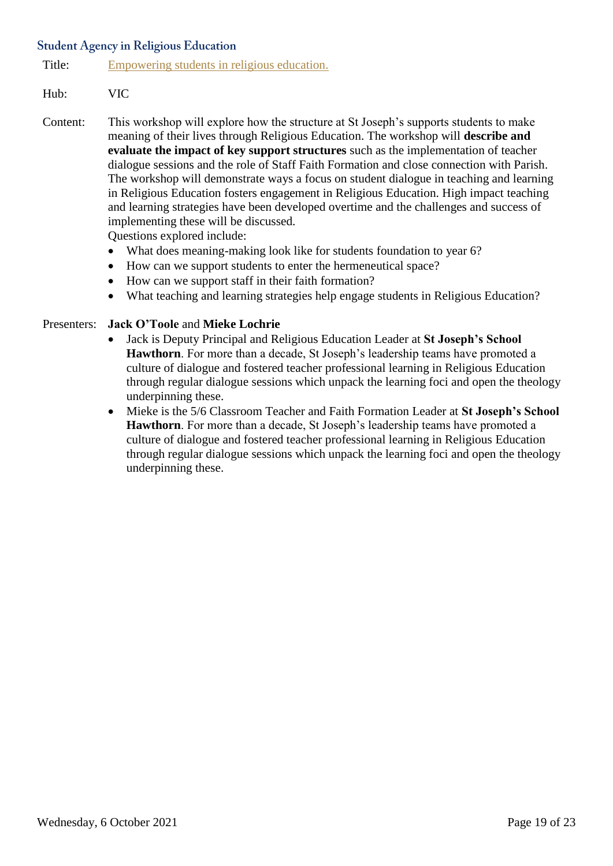# **Student Agency in Religious Education**

Title: [Empowering students in religious education.](https://divinity.zoom.us/meeting/register/tZAsfumqpzkoGtBJK8htyi8HEdU3D1hW5eUy)

# Hub: VIC

Content: This workshop will explore how the structure at St Joseph's supports students to make meaning of their lives through Religious Education. The workshop will **describe and evaluate the impact of key support structures** such as the implementation of teacher dialogue sessions and the role of Staff Faith Formation and close connection with Parish. The workshop will demonstrate ways a focus on student dialogue in teaching and learning in Religious Education fosters engagement in Religious Education. High impact teaching and learning strategies have been developed overtime and the challenges and success of implementing these will be discussed.

Questions explored include:

- What does meaning-making look like for students foundation to year 6?
- How can we support students to enter the hermeneutical space?
- How can we support staff in their faith formation?
- What teaching and learning strategies help engage students in Religious Education?

#### Presenters: **Jack O'Toole** and **Mieke Lochrie**

- Jack is Deputy Principal and Religious Education Leader at **St Joseph's School Hawthorn**. For more than a decade, St Joseph's leadership teams have promoted a culture of dialogue and fostered teacher professional learning in Religious Education through regular dialogue sessions which unpack the learning foci and open the theology underpinning these.
- Mieke is the 5/6 Classroom Teacher and Faith Formation Leader at **St Joseph's School Hawthorn**. For more than a decade, St Joseph's leadership teams have promoted a culture of dialogue and fostered teacher professional learning in Religious Education through regular dialogue sessions which unpack the learning foci and open the theology underpinning these.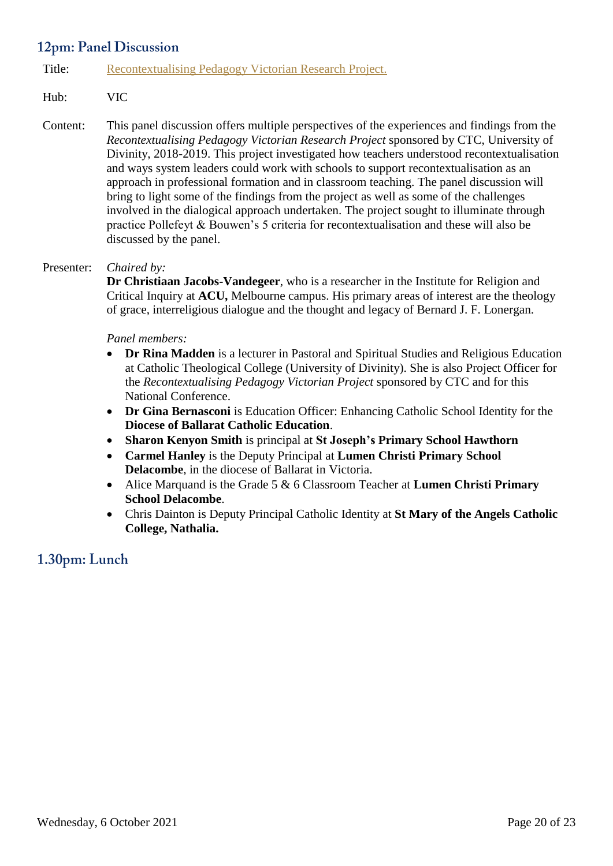# 12pm: Panel Discussion

# Title: [Recontextualising Pedagogy Victorian Research Project.](https://divinity.zoom.us/meeting/register/tZItce-ppj0sGdONNOLO3n4MV0asZy2lmac5)

# Hub: VIC

Content: This panel discussion offers multiple perspectives of the experiences and findings from the *Recontextualising Pedagogy Victorian Research Project* sponsored by CTC, University of Divinity, 2018-2019. This project investigated how teachers understood recontextualisation and ways system leaders could work with schools to support recontextualisation as an approach in professional formation and in classroom teaching. The panel discussion will bring to light some of the findings from the project as well as some of the challenges involved in the dialogical approach undertaken. The project sought to illuminate through practice Pollefeyt & Bouwen's 5 criteria for recontextualisation and these will also be discussed by the panel.

#### Presenter: *Chaired by:*

**Dr Christiaan Jacobs-Vandegeer**, who is a researcher in the Institute for Religion and Critical Inquiry at **ACU,** Melbourne campus. His primary areas of interest are the theology of grace, interreligious dialogue and the thought and legacy of Bernard J. F. Lonergan.

#### *Panel members:*

- **Dr Rina Madden** is a lecturer in Pastoral and Spiritual Studies and Religious Education at Catholic Theological College (University of Divinity). She is also Project Officer for the *Recontextualising Pedagogy Victorian Project* sponsored by CTC and for this National Conference.
- **Dr Gina Bernasconi** is Education Officer: Enhancing Catholic School Identity for the **Diocese of Ballarat Catholic Education**.
- **Sharon Kenyon Smith** is principal at **St Joseph's Primary School Hawthorn**
- **Carmel Hanley** is the Deputy Principal at **Lumen Christi Primary School Delacombe**, in the diocese of Ballarat in Victoria.
- Alice Marquand is the Grade 5 & 6 Classroom Teacher at **Lumen Christi Primary School Delacombe**.
- Chris Dainton is Deputy Principal Catholic Identity at **St Mary of the Angels Catholic College, Nathalia.**

# 1.30pm: Lunch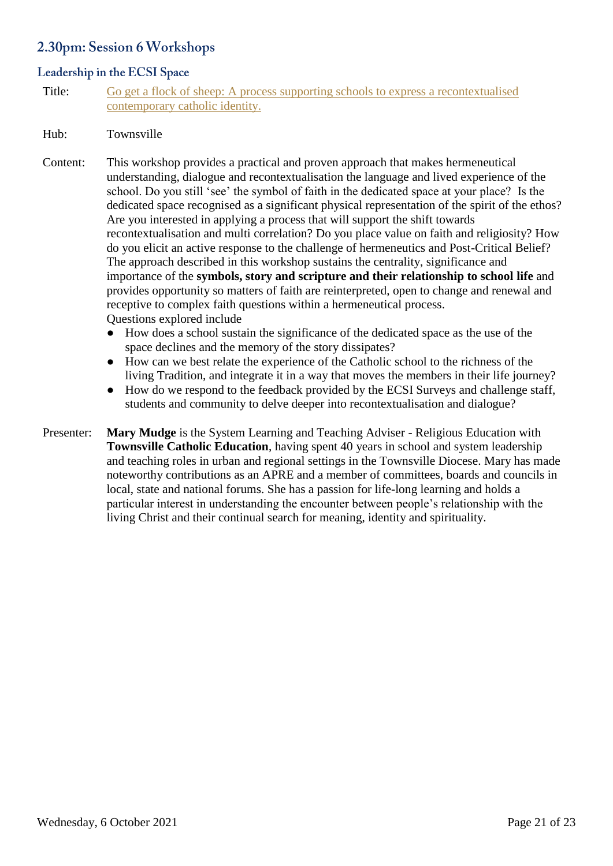# 2.30pm: Session 6 Workshops

# Leadership in the ECSI Space

Title: [Go get a flock of sheep: A process supporting schools to express a recontextualised](https://divinity.zoom.us/meeting/register/tZElcuqrrjMrGNTiBq2u1eVx7BSd18ncyMY5)  [contemporary catholic identity.](https://divinity.zoom.us/meeting/register/tZElcuqrrjMrGNTiBq2u1eVx7BSd18ncyMY5)

#### Hub: Townsville

- Content: This workshop provides a practical and proven approach that makes hermeneutical understanding, dialogue and recontextualisation the language and lived experience of the school. Do you still 'see' the symbol of faith in the dedicated space at your place? Is the dedicated space recognised as a significant physical representation of the spirit of the ethos? Are you interested in applying a process that will support the shift towards recontextualisation and multi correlation? Do you place value on faith and religiosity? How do you elicit an active response to the challenge of hermeneutics and Post-Critical Belief? The approach described in this workshop sustains the centrality, significance and importance of the **symbols, story and scripture and their relationship to school life** and provides opportunity so matters of faith are reinterpreted, open to change and renewal and receptive to complex faith questions within a hermeneutical process. Questions explored include
	- How does a school sustain the significance of the dedicated space as the use of the space declines and the memory of the story dissipates?
	- How can we best relate the experience of the Catholic school to the richness of the living Tradition, and integrate it in a way that moves the members in their life journey?
	- How do we respond to the feedback provided by the ECSI Surveys and challenge staff, students and community to delve deeper into recontextualisation and dialogue?
- Presenter: Mary Mudge is the System Learning and Teaching Adviser Religious Education with **Townsville Catholic Education**, having spent 40 years in school and system leadership and teaching roles in urban and regional settings in the Townsville Diocese. Mary has made noteworthy contributions as an APRE and a member of committees, boards and councils in local, state and national forums. She has a passion for life-long learning and holds a particular interest in understanding the encounter between people's relationship with the living Christ and their continual search for meaning, identity and spirituality.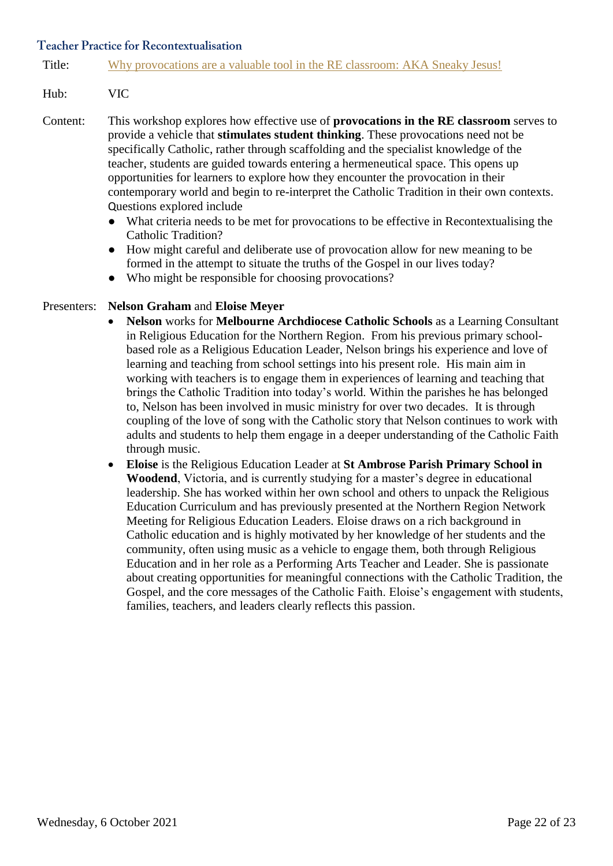#### **Teacher Practice for Recontextualisation**

Title: [Why provocations are a valuable tool in the RE classroom: AKA](https://divinity.zoom.us/meeting/register/tZ0tdeuqqDorHNC30EVZQX8EjFN0llnqKl-D) Sneaky Jesus!

#### Hub: VIC

- Content: This workshop explores how effective use of **provocations in the RE classroom** serves to provide a vehicle that **stimulates student thinking**. These provocations need not be specifically Catholic, rather through scaffolding and the specialist knowledge of the teacher, students are guided towards entering a hermeneutical space. This opens up opportunities for learners to explore how they encounter the provocation in their contemporary world and begin to re-interpret the Catholic Tradition in their own contexts. Questions explored include
	- What criteria needs to be met for provocations to be effective in Recontextualising the Catholic Tradition?
	- How might careful and deliberate use of provocation allow for new meaning to be formed in the attempt to situate the truths of the Gospel in our lives today?
	- Who might be responsible for choosing provocations?

#### Presenters: **Nelson Graham** and **Eloise Meyer**

- **Nelson** works for **Melbourne Archdiocese Catholic Schools** as a Learning Consultant in Religious Education for the Northern Region. From his previous primary schoolbased role as a Religious Education Leader, Nelson brings his experience and love of learning and teaching from school settings into his present role. His main aim in working with teachers is to engage them in experiences of learning and teaching that brings the Catholic Tradition into today's world. Within the parishes he has belonged to, Nelson has been involved in music ministry for over two decades. It is through coupling of the love of song with the Catholic story that Nelson continues to work with adults and students to help them engage in a deeper understanding of the Catholic Faith through music.
- **Eloise** is the Religious Education Leader at **St Ambrose Parish Primary School in Woodend**, Victoria, and is currently studying for a master's degree in educational leadership. She has worked within her own school and others to unpack the Religious Education Curriculum and has previously presented at the Northern Region Network Meeting for Religious Education Leaders. Eloise draws on a rich background in Catholic education and is highly motivated by her knowledge of her students and the community, often using music as a vehicle to engage them, both through Religious Education and in her role as a Performing Arts Teacher and Leader. She is passionate about creating opportunities for meaningful connections with the Catholic Tradition, the Gospel, and the core messages of the Catholic Faith. Eloise's engagement with students, families, teachers, and leaders clearly reflects this passion.